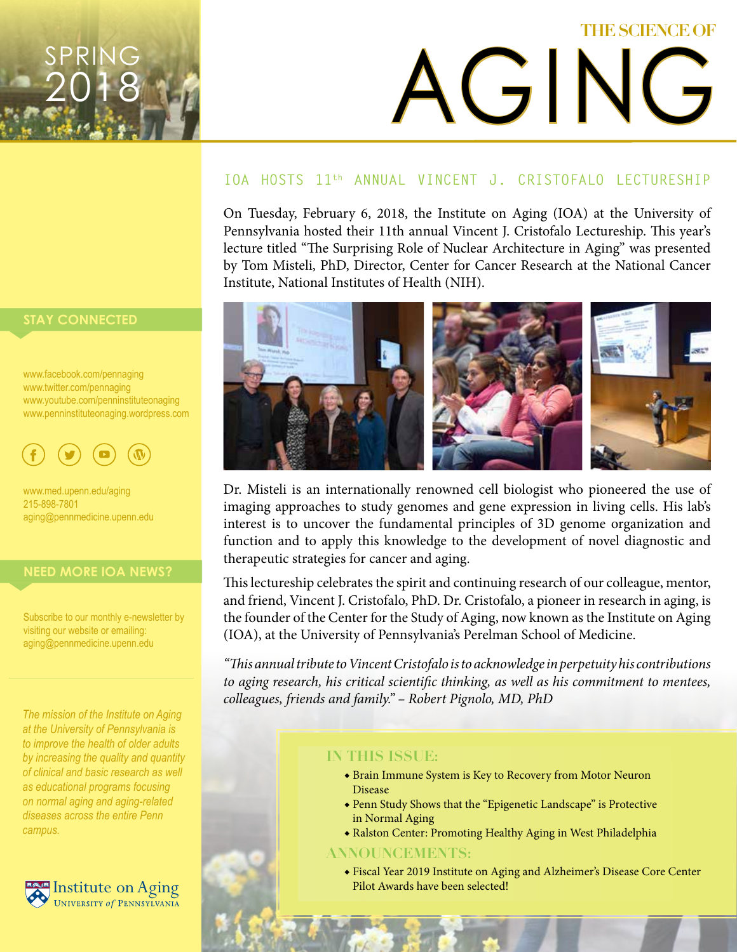# AGING **THE SCIENCE OF**

#### **IOA HOSTS 11th ANNUAL VINCENT J. CRISTOFALO LECTURESHIP**

On Tuesday, February 6, 2018, the Institute on Aging (IOA) at the University of Pennsylvania hosted their 11th annual Vincent J. Cristofalo Lectureship. This year's lecture titled "The Surprising Role of Nuclear Architecture in Aging" was presented by Tom Misteli, PhD, Director, Center for Cancer Research at the National Cancer Institute, National Institutes of Health (NIH).



Dr. Misteli is an internationally renowned cell biologist who pioneered the use of imaging approaches to study genomes and gene expression in living cells. His lab's interest is to uncover the fundamental principles of 3D genome organization and function and to apply this knowledge to the development of novel diagnostic and therapeutic strategies for cancer and aging.

This lectureship celebrates the spirit and continuing research of our colleague, mentor, and friend, Vincent J. Cristofalo, PhD. Dr. Cristofalo, a pioneer in research in aging, is the founder of the Center for the Study of Aging, now known as the Institute on Aging (IOA), at the University of Pennsylvania's Perelman School of Medicine.

*"This annual tribute to Vincent Cristofalo is to acknowledge in perpetuity his contributions to aging research, his critical scientific thinking, as well as his commitment to mentees, colleagues, friends and family." – Robert Pignolo, MD, PhD*

#### **IN THIS ISSUE:**

- ◆ Brain Immune System is Key to Recovery from Motor Neuron Disease
- ◆ Penn Study Shows that the "Epigenetic Landscape" is Protective in Normal Aging
- ◆ Ralston Center: Promoting Healthy Aging in West Philadelphia

#### **ANNOUNCEMENTS:**

◆ Fiscal Year 2019 Institute on Aging and Alzheimer's Disease Core Center

#### **STAY CONNECTED**

SPRING

2018

www.twitter.com/pennaging www.youtube.com/penninstituteonaging www.penninstituteonaging.wordpress.com



**STAY CONNECTED** 215-898-7801 www.med.upenn.edu/aging aging@pennmedicine.upenn.edu

www.facebook.com/pennaging

#### **NEED MORE IOA NEWS?** www.youtube.com/penninstitute

Subscribe to our monthly e-newsletter by visiting our website or emailing: aging@pennmedicine.upenn.edu aging@pennmedicine.upenn.edu

*The mission of the Institute on Aging at the University of Pennsylvania is to improve the health of older adults by increasing the quality and quantity of clinical and basic research as well as educational programs focusing on normal aging and aging-related diseases across the entire Penn campus.*

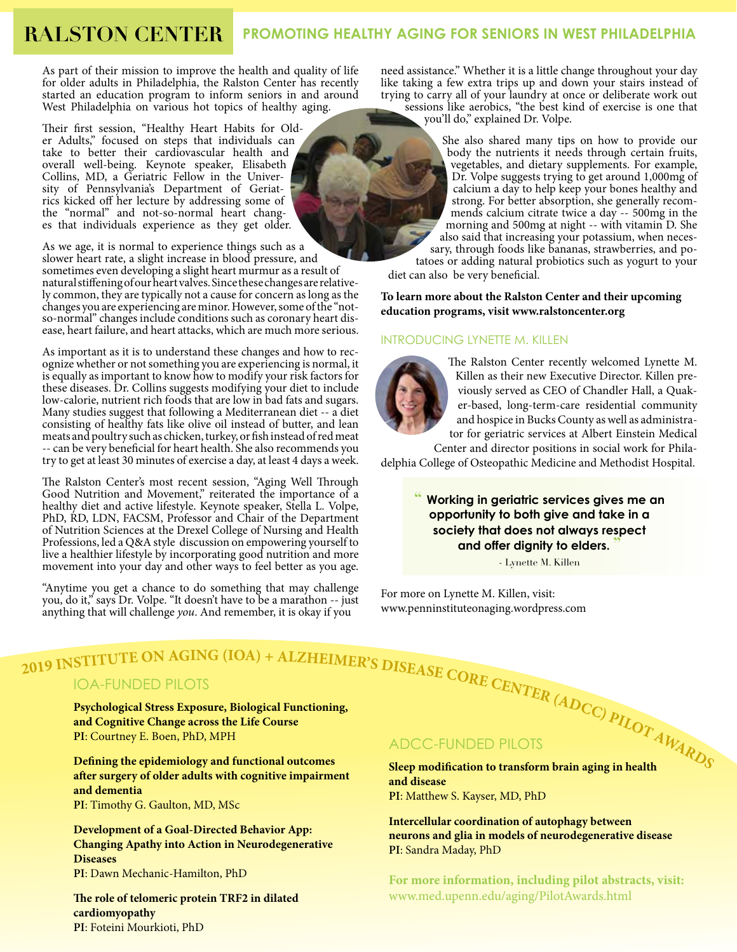### **RALSTON CENTER PROMOTING HEALTHY AGING FOR SENIORS IN WEST PHILADELPHIA**

As part of their mission to improve the health and quality of life for older adults in Philadelphia, the Ralston Center has recently started an education program to inform seniors in and around West Philadelphia on various hot topics of healthy aging.

Their first session, "Healthy Heart Habits for Older Adults," focused on steps that individuals can take to better their cardiovascular health and overall well-being. Keynote speaker, Elisabeth Collins, MD, a Geriatric Fellow in the Univer-<br>sity of Pennsylvania's Department of Geriatrics kicked off her lecture by addressing some of<br>the "normal" and not-so-normal heart changes that individuals experience as they get older.

As we age, it is normal to experience things such as a slower heart rate, a slight increase in blood pressure, and sometimes even developing a slight heart murmur as a result of natural stiffening of our heart valves. Since these changes are relative- ly common, they are typically not a cause for concern as long as the changes you are experiencing are minor. However, some of the "notso-normal" changes include conditions such as coronary heart dis- ease, heart failure, and heart attacks, which are much more serious.

As important as it is to understand these changes and how to recognize whether or not something you are experiencing is normal, it is equally as important to know how to modify your risk factors for these diseases. Dr. Collins suggests modifying your diet to include low-calorie, nutrient rich foods that are low in bad fats and sugars. Many studies suggest that following a Mediterranean diet -- a diet consisting of healthy fats like olive oil instead of butter, and lean meats and poultry such as chicken, turkey, or fish instead of red meat -- can be very beneficial for heart health. She also recommends you try to get at least 30 minutes of exercise a day, at least 4 days a week.

The Ralston Center's most recent session, "Aging Well Through Good Nutrition and Movement," reiterated the importance of a healthy diet and active lifestyle. Keynote speaker, Stella L. Volpe, PhD, RD, LDN, FACSM, Professor and Chair of the Department of Nutrition Sciences at the Drexel College of Nursing and Health Professions, led a Q&A style discussion on empowering yourself to live a healthier lifestyle by incorporating good nutrition and more movement into your day and other ways to feel better as you age.

"Anytime you get a chance to do something that may challenge you, do it," says Dr. Volpe. "It doesn't have to be a marathon -- just you, do it," says Dr. Volpe. "It doesn't have to be a marathon -- just anything that will challenge *you*. And remember, it is okay if you www.penninstituteonaging.wordpress.com

need assistance." Whether it is a little change throughout your day like taking a few extra trips up and down your stairs instead of trying to carry all of your laundry at once or deliberate work out sessions like aerobics, "the best kind of exercise is one that

you'll do," explained Dr. Volpe.

She also shared many tips on how to provide our body the nutrients it needs through certain fruits, vegetables, and dietary supplements. For example, Dr. Volpe suggests trying to get around 1,000mg of calcium a day to help keep your bones healthy and strong. For better absorption, she generally recommends calcium citrate twice a day -- 500mg in the morning and 500mg at night -- with vitamin D. She also said that increasing your potassium, when necessary, through foods like bananas, strawberries, and po-<br>tatoes or adding natural probiotics such as yogurt to your

diet can also be very beneficial.

#### **To learn more about the Ralston Center and their upcoming education programs, visit www.ralstoncenter.org**

#### INTRODUCING LYNETTE M. KILLEN



The Ralston Center recently welcomed Lynette M. Killen as their new Executive Director. Killen previously served as CEO of Chandler Hall, a Quaker-based, long-term-care residential community and hospice in Bucks County as well as administrator for geriatric services at Albert Einstein Medical

Center and director positions in social work for Philadelphia College of Osteopathic Medicine and Methodist Hospital.

> **" Working in geriatric services gives me an opportunity to both give and take in a society that does not always respect and offer dignity to elders. "**

> > - Lynette M. Killen

For more on Lynette M. Killen, visit:

#### IOA-FUNDED PILOTS

2019 INSTITUTE ON AGING (IOA) + ALZHEIMER'S DISEASE CORE CENTER (ADCC)  $PLQ$ <br>
IOA-FUNDED PILOTS<br> **Prychological Stress Exposure, Biological Functioning,**<br>
and Cognitive Change across the Life Course<br>
PI: Courtney E. Boen, **Psychological Stress Exposure, Biological Functioning, and Cognitive Change across the Life Course PI**: Courtney E. Boen, PhD, MPH

**Defining the epidemiology and functional outcomes after surgery of older adults with cognitive impairment and dementia PI**: Timothy G. Gaulton, MD, MSc

**Development of a Goal-Directed Behavior App: Changing Apathy into Action in Neurodegenerative Diseases PI**: Dawn Mechanic-Hamilton, PhD

**The role of telomeric protein TRF2 in dilated cardiomyopathy PI**: Foteini Mourkioti, PhD

#### ADCC-FUNDED PILOTS

**Sleep modification to transform brain aging in health and disease PI**: Matthew S. Kayser, MD, PhD

**Intercellular coordination of autophagy between neurons and glia in models of neurodegenerative disease PI**: Sandra Maday, PhD

**For more information, including pilot abstracts, visit:** www.med.upenn.edu/aging/PilotAwards.html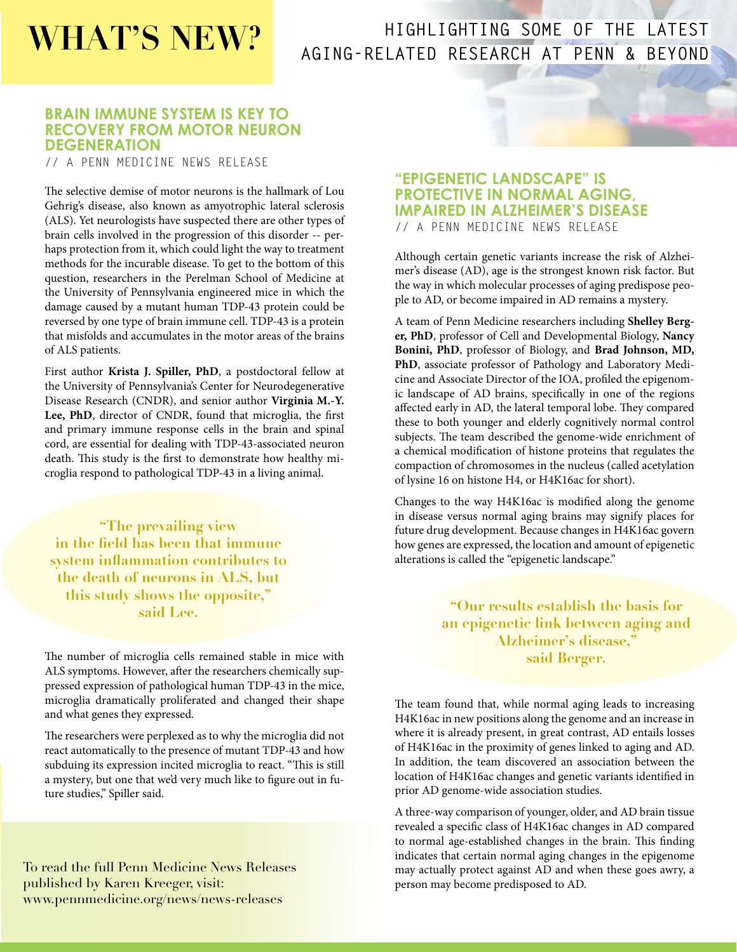## **WHAT'S NEW?**

#### **HIGHLIGHTING SOME OF THE LATEST AGING-RELATED RESEARCH AT PENN & BEYOND**

#### **BRAIN IMMUNE SYSTEM IS KEY TO RECOVERY FROM MOTOR NEURON DEGENERATION**

// A PENN MEDICINE NEWS RELEASE

The selective demise of motor neurons is the hallmark of Lou Gehrig's disease, also known as amyotrophic lateral sclerosis (ALS). Yet neurologists have suspected there are other types of brain cells involved in the progression of this disorder -- perhaps protection from it, which could light the way to treatment methods for the incurable disease. To get to the bottom of this question, researchers in the Perelman School of Medicine at the University of Pennsylvania engineered mice in which the damage caused by a mutant human TDP-43 protein could be reversed by one type of brain immune cell. TDP-43 is a protein that misfolds and accumulates in the motor areas of the brains of ALS patients.

First author **Krista J. Spiller, PhD**, a postdoctoral fellow at the University of Pennsylvania's Center for Neurodegenerative Disease Research (CNDR), and senior author **Virginia M.-Y. Lee, PhD**, director of CNDR, found that microglia, the first and primary immune response cells in the brain and spinal cord, are essential for dealing with TDP-43-associated neuron death. This study is the first to demonstrate how healthy microglia respond to pathological TDP-43 in a living animal.

**"The prevailing view in the field has been that immune system inflammation contributes to the death of neurons in ALS, but this study shows the opposite," said Lee.**

The number of microglia cells remained stable in mice with ALS symptoms. However, after the researchers chemically suppressed expression of pathological human TDP-43 in the mice, microglia dramatically proliferated and changed their shape and what genes they expressed.

The researchers were perplexed as to why the microglia did not react automatically to the presence of mutant TDP-43 and how subduing its expression incited microglia to react. "This is still a mystery, but one that we'd very much like to figure out in future studies," Spiller said.

To read the full Penn Medicine News Releases published by Karen Kreeger, visit: www.pennmedicine.org/news/news-releases

#### **"EPIGENETIC LANDSCAPE" IS PROTECTIVE IN NORMAL AGING, IMPAIRED IN ALZHEIMER'S DISEASE**

// A PENN MEDICINE NEWS RELEASE

Although certain genetic variants increase the risk of Alzheimer's disease (AD), age is the strongest known risk factor. But the way in which molecular processes of aging predispose people to AD, or become impaired in AD remains a mystery.

A team of Penn Medicine researchers including **Shelley Berger, PhD**, professor of Cell and Developmental Biology, **Nancy Bonini, PhD**, professor of Biology, and **Brad Johnson, MD, PhD**, associate professor of Pathology and Laboratory Medicine and Associate Director of the IOA, profiled the epigenomic landscape of AD brains, specifically in one of the regions affected early in AD, the lateral temporal lobe. They compared these to both younger and elderly cognitively normal control subjects. The team described the genome-wide enrichment of a chemical modification of histone proteins that regulates the compaction of chromosomes in the nucleus (called acetylation of lysine 16 on histone H4, or H4K16ac for short).

Changes to the way H4K16ac is modified along the genome in disease versus normal aging brains may signify places for future drug development. Because changes in H4K16ac govern how genes are expressed, the location and amount of epigenetic alterations is called the "epigenetic landscape."

> **"Our results establish the basis for an epigenetic link between aging and Alzheimer's disease," said Berger.**

The team found that, while normal aging leads to increasing H4K16ac in new positions along the genome and an increase in where it is already present, in great contrast, AD entails losses of H4K16ac in the proximity of genes linked to aging and AD. In addition, the team discovered an association between the location of H4K16ac changes and genetic variants identified in prior AD genome-wide association studies.

A three-way comparison of younger, older, and AD brain tissue revealed a specific class of H4K16ac changes in AD compared to normal age-established changes in the brain. This finding indicates that certain normal aging changes in the epigenome may actually protect against AD and when these goes awry, a person may become predisposed to AD.